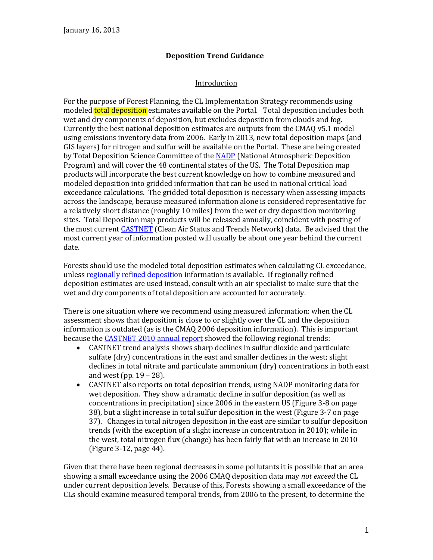# **Deposition Trend Guidance**

## Introduction

For the purpose of Forest Planning, the CL Implementation Strategy recommends using modeled **total deposition** estimates available on the Portal. Total deposition includes both wet and dry components of deposition, but excludes deposition from clouds and fog. Currently the best national deposition estimates are outputs from the CMAQ v5.1 model using emissions inventory data from 2006. Early in 2013, new total deposition maps (and GIS layers) for nitrogen and sulfur will be available on the Portal. These are being created by Total Deposition Science Committee of the [NADP](http://nadp.sws.uiuc.edu/NADP/) (National Atmospheric Deposition Program) and will cover the 48 continental states of the US. The Total Deposition map products will incorporate the best current knowledge on how to combine measured and modeled deposition into gridded information that can be used in national critical load exceedance calculations. The gridded total deposition is necessary when assessing impacts across the landscape, because measured information alone is considered representative for a relatively short distance (roughly 10 miles) from the wet or dry deposition monitoring sites. Total Deposition map products will be released annually, coincident with posting of the most current [CASTNET](http://www.epa.gov/castnet) (Clean Air Status and Trends Network) data. Be advised that the most current year of information posted will usually be about one year behind the current date.

Forests should use the modeled total deposition estimates when calculating CL exceedance, unles[s regionally refined deposition](http://www.srs.fs.fed.us/airqualityportal/critical_loads/glossary.php) information is available. If regionally refined deposition estimates are used instead, consult with an air specialist to make sure that the wet and dry components of total deposition are accounted for accurately.

There is one situation where we recommend using measured information: when the CL assessment shows that deposition is close to or slightly over the CL and the deposition information is outdated (as is the CMAQ 2006 deposition information). This is important because the **CASTNET 2010 annual report** showed the following regional trends:

- CASTNET trend analysis shows sharp declines in sulfur dioxide and particulate sulfate (dry) concentrations in the east and smaller declines in the west; slight declines in total nitrate and particulate ammonium (dry) concentrations in both east and west (pp. 19 – 28).
- CASTNET also reports on total deposition trends, using NADP monitoring data for wet deposition. They show a dramatic decline in sulfur deposition (as well as concentrations in precipitation) since 2006 in the eastern US (Figure 3-8 on page 38), but a slight increase in total sulfur deposition in the west (Figure 3-7 on page 37). Changes in total nitrogen deposition in the east are similar to sulfur deposition trends (with the exception of a slight increase in concentration in 2010); while in the west, total nitrogen flux (change) has been fairly flat with an increase in 2010 (Figure 3-12, page 44).

Given that there have been regional decreases in some pollutants it is possible that an area showing a small exceedance using the 2006 CMAQ deposition data may *not exceed* the CL under current deposition levels. Because of this, Forests showing a small exceedance of the CLs should examine measured temporal trends, from 2006 to the present, to determine the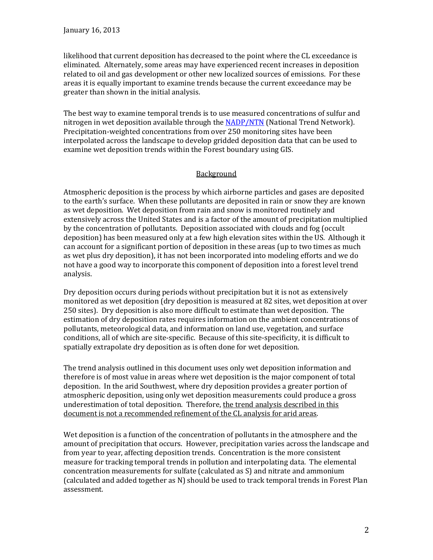likelihood that current deposition has decreased to the point where the CL exceedance is eliminated. Alternately, some areas may have experienced recent increases in deposition related to oil and gas development or other new localized sources of emissions. For these areas it is equally important to examine trends because the current exceedance may be greater than shown in the initial analysis.

The best way to examine temporal trends is to use measured concentrations of sulfur and nitrogen in wet deposition available through the [NADP/NTN](http://nadp.sws.uiuc.edu/NTN) (National Trend Network). Precipitation-weighted concentrations from over 250 monitoring sites have been interpolated across the landscape to develop gridded deposition data that can be used to examine wet deposition trends within the Forest boundary using GIS.

#### Background

Atmospheric deposition is the process by which airborne particles and gases are deposited to the earth's surface. When these pollutants are deposited in rain or snow they are known as wet deposition. Wet deposition from rain and snow is monitored routinely and extensively across the United States and is a factor of the amount of precipitation multiplied by the concentration of pollutants. Deposition associated with clouds and fog (occult deposition) has been measured only at a few high elevation sites within the US. Although it can account for a significant portion of deposition in these areas (up to two times as much as wet plus dry deposition), it has not been incorporated into modeling efforts and we do not have a good way to incorporate this component of deposition into a forest level trend analysis.

Dry deposition occurs during periods without precipitation but it is not as extensively monitored as wet deposition (dry deposition is measured at 82 sites, wet deposition at over 250 sites). Dry deposition is also more difficult to estimate than wet deposition. The estimation of dry deposition rates requires information on the ambient concentrations of pollutants, meteorological data, and information on land use, vegetation, and surface conditions, all of which are site-specific. Because of this site-specificity, it is difficult to spatially extrapolate dry deposition as is often done for wet deposition.

The trend analysis outlined in this document uses only wet deposition information and therefore is of most value in areas where wet deposition is the major component of total deposition. In the arid Southwest, where dry deposition provides a greater portion of atmospheric deposition, using only wet deposition measurements could produce a gross underestimation of total deposition. Therefore, the trend analysis described in this document is not a recommended refinement of the CL analysis for arid areas.

Wet deposition is a function of the concentration of pollutants in the atmosphere and the amount of precipitation that occurs. However, precipitation varies across the landscape and from year to year, affecting deposition trends. Concentration is the more consistent measure for tracking temporal trends in pollution and interpolating data. The elemental concentration measurements for sulfate (calculated as S) and nitrate and ammonium (calculated and added together as N) should be used to track temporal trends in Forest Plan assessment.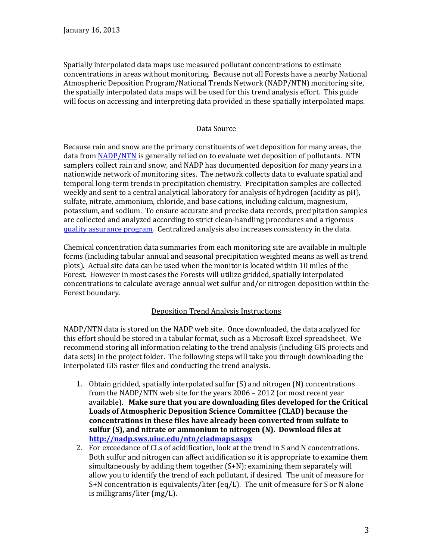Spatially interpolated data maps use measured pollutant concentrations to estimate concentrations in areas without monitoring. Because not all Forests have a nearby National Atmospheric Deposition Program/National Trends Network (NADP/NTN) monitoring site, the spatially interpolated data maps will be used for this trend analysis effort. This guide will focus on accessing and interpreting data provided in these spatially interpolated maps.

## Data Source

Because rain and snow are the primary constituents of wet deposition for many areas, the data from [NADP/NTN](http://nadp.sws.uiuc.edu/NTN) is generally relied on to evaluate wet deposition of pollutants. NTN samplers collect rain and snow, and NADP has documented deposition for many years in a nationwide network of monitoring sites. The network collects data to evaluate spatial and temporal long-term trends in precipitation chemistry. Precipitation samples are collected weekly and sent to a central analytical laboratory for analysis of hydrogen (acidity as pH), sulfate, nitrate, ammonium, chloride, and base cations, including calcium, magnesium, potassium, and sodium. To ensure accurate and precise data records, precipitation samples are collected and analyzed according to strict clean-handling procedures and a rigorous [quality assurance program.](http://nadp.sws.uiuc.edu/lib/qaPlans.aspx) Centralized analysis also increases consistency in the data.

Chemical concentration data summaries from each monitoring site are available in multiple forms (including tabular annual and seasonal precipitation weighted means as well as trend plots). Actual site data can be used when the monitor is located within 10 miles of the Forest. However in most cases the Forests will utilize gridded, spatially interpolated concentrations to calculate average annual wet sulfur and/or nitrogen deposition within the Forest boundary.

# Deposition Trend Analysis Instructions

NADP/NTN data is stored on the NADP web site. Once downloaded, the data analyzed for this effort should be stored in a tabular format, such as a Microsoft Excel spreadsheet. We recommend storing all information relating to the trend analysis (including GIS projects and data sets) in the project folder. The following steps will take you through downloading the interpolated GIS raster files and conducting the trend analysis.

- 1. Obtain gridded, spatially interpolated sulfur (S) and nitrogen (N) concentrations from the NADP/NTN web site for the years 2006 – 2012 (or most recent year available). **Make sure that you are downloading files developed for the Critical Loads of Atmospheric Deposition Science Committee (CLAD) because the concentrations in these files have already been converted from sulfate to sulfur (S), and nitrate or ammonium to nitrogen (N). Download files at <http://nadp.sws.uiuc.edu/ntn/cladmaps.aspx>**
- 2. For exceedance of CLs of acidification, look at the trend in S and N concentrations. Both sulfur and nitrogen can affect acidification so it is appropriate to examine them simultaneously by adding them together (S+N); examining them separately will allow you to identify the trend of each pollutant, if desired. The unit of measure for S+N concentration is equivalents/liter (eq/L). The unit of measure for S or N alone is milligrams/liter (mg/L).